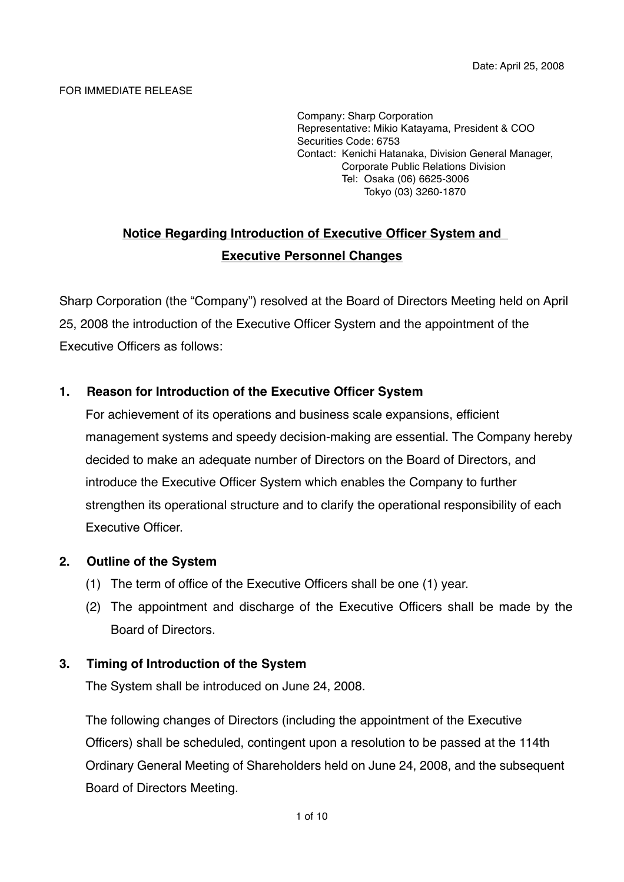#### FOR IMMEDIATE RELEASE

Company: Sharp Corporation Representative: Mikio Katayama, President & COO Securities Code: 6753 Contact: Kenichi Hatanaka, Division General Manager, Corporate Public Relations Division Tel: Osaka (06) 6625-3006 Tokyo (03) 3260-1870

# **Notice Regarding Introduction of Executive Officer System and Executive Personnel Changes**

Sharp Corporation (the "Company") resolved at the Board of Directors Meeting held on April 25, 2008 the introduction of the Executive Officer System and the appointment of the Executive Officers as follows:

#### **1. Reason for Introduction of the Executive Officer System**

For achievement of its operations and business scale expansions, efficient management systems and speedy decision-making are essential. The Company hereby decided to make an adequate number of Directors on the Board of Directors, and introduce the Executive Officer System which enables the Company to further strengthen its operational structure and to clarify the operational responsibility of each Executive Officer.

#### **2. Outline of the System**

- (1) The term of office of the Executive Officers shall be one (1) year.
- (2) The appointment and discharge of the Executive Officers shall be made by the Board of Directors.

#### **3. Timing of Introduction of the System**

The System shall be introduced on June 24, 2008.

The following changes of Directors (including the appointment of the Executive Officers) shall be scheduled, contingent upon a resolution to be passed at the 114th Ordinary General Meeting of Shareholders held on June 24, 2008, and the subsequent Board of Directors Meeting.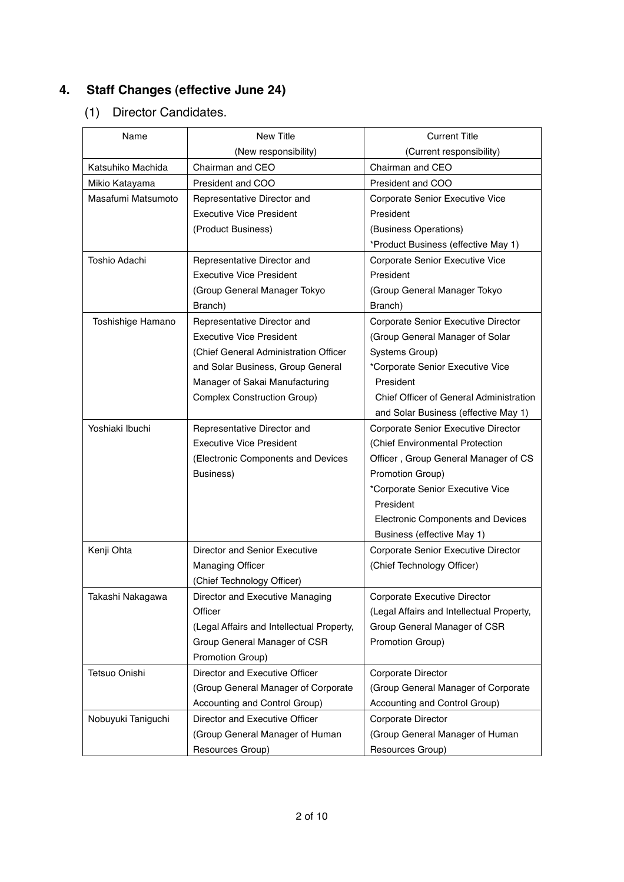# **4. Staff Changes (effective June 24)**

# (1) Director Candidates.

| Name               | New Title                                 | <b>Current Title</b>                      |
|--------------------|-------------------------------------------|-------------------------------------------|
|                    | (New responsibility)                      | (Current responsibility)                  |
| Katsuhiko Machida  | Chairman and CEO                          | Chairman and CEO                          |
| Mikio Katayama     | President and COO                         | President and COO                         |
| Masafumi Matsumoto | Representative Director and               | Corporate Senior Executive Vice           |
|                    | <b>Executive Vice President</b>           | President                                 |
|                    | (Product Business)                        | (Business Operations)                     |
|                    |                                           | *Product Business (effective May 1)       |
| Toshio Adachi      | Representative Director and               | Corporate Senior Executive Vice           |
|                    | <b>Executive Vice President</b>           | President                                 |
|                    | (Group General Manager Tokyo              | (Group General Manager Tokyo              |
|                    | Branch)                                   | Branch)                                   |
| Toshishige Hamano  | Representative Director and               | Corporate Senior Executive Director       |
|                    | <b>Executive Vice President</b>           | (Group General Manager of Solar           |
|                    | (Chief General Administration Officer     | Systems Group)                            |
|                    | and Solar Business, Group General         | *Corporate Senior Executive Vice          |
|                    | Manager of Sakai Manufacturing            | President                                 |
|                    | <b>Complex Construction Group)</b>        | Chief Officer of General Administration   |
|                    |                                           | and Solar Business (effective May 1)      |
| Yoshiaki Ibuchi    | Representative Director and               | Corporate Senior Executive Director       |
|                    | <b>Executive Vice President</b>           | (Chief Environmental Protection           |
|                    | (Electronic Components and Devices        | Officer, Group General Manager of CS      |
|                    | Business)                                 | Promotion Group)                          |
|                    |                                           | *Corporate Senior Executive Vice          |
|                    |                                           | President                                 |
|                    |                                           | Electronic Components and Devices         |
|                    |                                           | Business (effective May 1)                |
| Kenji Ohta         | Director and Senior Executive             | Corporate Senior Executive Director       |
|                    | <b>Managing Officer</b>                   | (Chief Technology Officer)                |
|                    | (Chief Technology Officer)                |                                           |
| Takashi Nakagawa   | Director and Executive Managing           | Corporate Executive Director              |
|                    | Officer                                   | (Legal Affairs and Intellectual Property, |
|                    | (Legal Affairs and Intellectual Property, | Group General Manager of CSR              |
|                    | Group General Manager of CSR              | Promotion Group)                          |
|                    | Promotion Group)                          |                                           |
| Tetsuo Onishi      | Director and Executive Officer            | Corporate Director                        |
|                    | (Group General Manager of Corporate       | (Group General Manager of Corporate       |
|                    | Accounting and Control Group)             | Accounting and Control Group)             |
| Nobuyuki Taniguchi | Director and Executive Officer            | Corporate Director                        |
|                    | (Group General Manager of Human           | (Group General Manager of Human           |
|                    | Resources Group)                          | Resources Group)                          |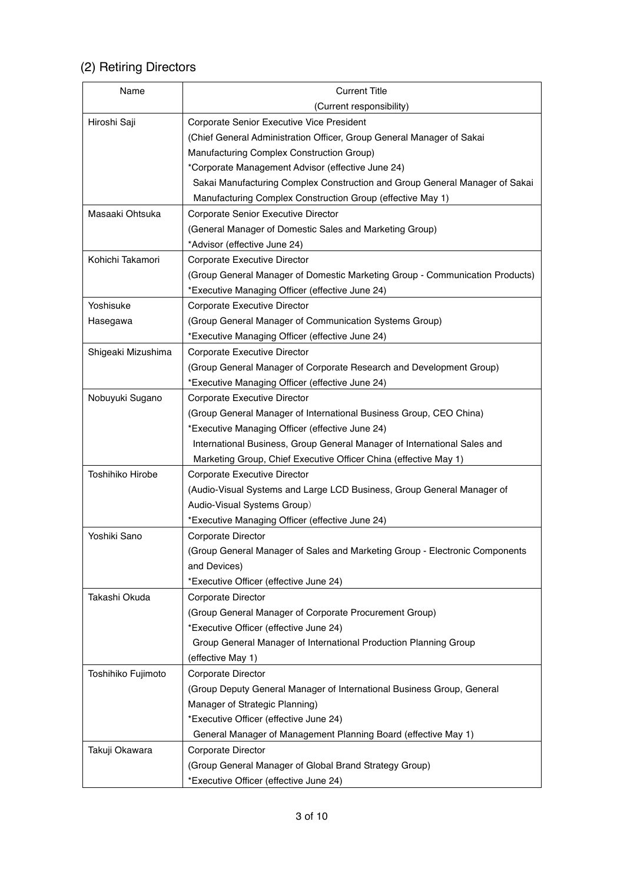# (2) Retiring Directors

| Name               | <b>Current Title</b>                                                         |  |
|--------------------|------------------------------------------------------------------------------|--|
|                    | (Current responsibility)                                                     |  |
| Hiroshi Saji       | Corporate Senior Executive Vice President                                    |  |
|                    | (Chief General Administration Officer, Group General Manager of Sakai        |  |
|                    | Manufacturing Complex Construction Group)                                    |  |
|                    | *Corporate Management Advisor (effective June 24)                            |  |
|                    | Sakai Manufacturing Complex Construction and Group General Manager of Sakai  |  |
|                    | Manufacturing Complex Construction Group (effective May 1)                   |  |
| Masaaki Ohtsuka    | Corporate Senior Executive Director                                          |  |
|                    | (General Manager of Domestic Sales and Marketing Group)                      |  |
|                    | *Advisor (effective June 24)                                                 |  |
| Kohichi Takamori   | Corporate Executive Director                                                 |  |
|                    | (Group General Manager of Domestic Marketing Group - Communication Products) |  |
|                    | *Executive Managing Officer (effective June 24)                              |  |
| Yoshisuke          | Corporate Executive Director                                                 |  |
| Hasegawa           | (Group General Manager of Communication Systems Group)                       |  |
|                    | *Executive Managing Officer (effective June 24)                              |  |
| Shigeaki Mizushima | Corporate Executive Director                                                 |  |
|                    | (Group General Manager of Corporate Research and Development Group)          |  |
|                    | *Executive Managing Officer (effective June 24)                              |  |
| Nobuyuki Sugano    | Corporate Executive Director                                                 |  |
|                    | (Group General Manager of International Business Group, CEO China)           |  |
|                    | *Executive Managing Officer (effective June 24)                              |  |
|                    | International Business, Group General Manager of International Sales and     |  |
|                    | Marketing Group, Chief Executive Officer China (effective May 1)             |  |
| Toshihiko Hirobe   | Corporate Executive Director                                                 |  |
|                    | (Audio-Visual Systems and Large LCD Business, Group General Manager of       |  |
|                    | Audio-Visual Systems Group)                                                  |  |
|                    | *Executive Managing Officer (effective June 24)                              |  |
| Yoshiki Sano       | Corporate Director                                                           |  |
|                    | (Group General Manager of Sales and Marketing Group - Electronic Components  |  |
|                    | and Devices)                                                                 |  |
|                    | *Executive Officer (effective June 24)                                       |  |
| Takashi Okuda      | Corporate Director                                                           |  |
|                    | (Group General Manager of Corporate Procurement Group)                       |  |
|                    | *Executive Officer (effective June 24)                                       |  |
|                    | Group General Manager of International Production Planning Group             |  |
|                    | (effective May 1)                                                            |  |
| Toshihiko Fujimoto | Corporate Director                                                           |  |
|                    | (Group Deputy General Manager of International Business Group, General       |  |
|                    | Manager of Strategic Planning)                                               |  |
|                    | *Executive Officer (effective June 24)                                       |  |
|                    | General Manager of Management Planning Board (effective May 1)               |  |
| Takuji Okawara     | Corporate Director                                                           |  |
|                    | (Group General Manager of Global Brand Strategy Group)                       |  |
|                    | *Executive Officer (effective June 24)                                       |  |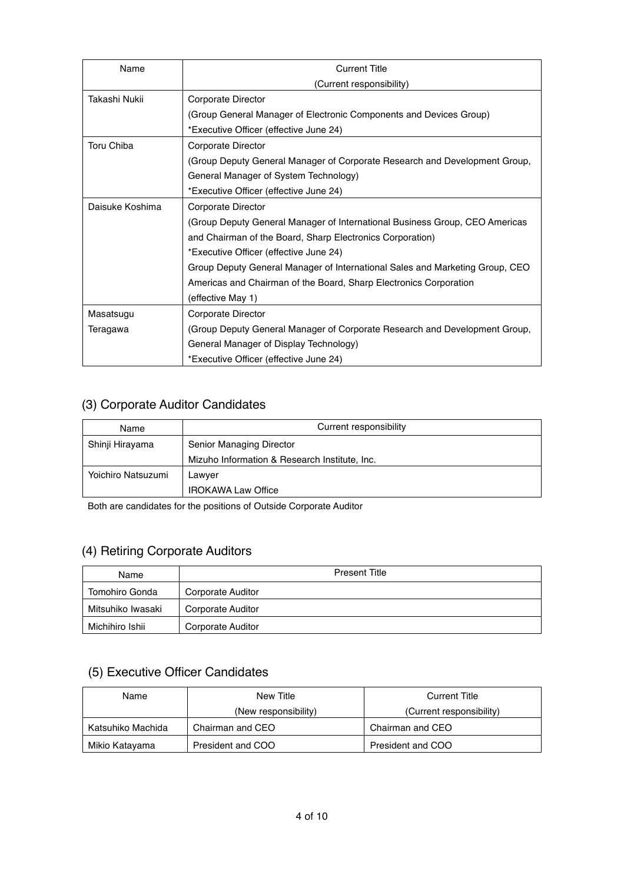| Name            | <b>Current Title</b>                                                         |  |
|-----------------|------------------------------------------------------------------------------|--|
|                 | (Current responsibility)                                                     |  |
| Takashi Nukii   | Corporate Director                                                           |  |
|                 | (Group General Manager of Electronic Components and Devices Group)           |  |
|                 | *Executive Officer (effective June 24)                                       |  |
| Toru Chiba      | Corporate Director                                                           |  |
|                 | (Group Deputy General Manager of Corporate Research and Development Group,   |  |
|                 | General Manager of System Technology)                                        |  |
|                 | *Executive Officer (effective June 24)                                       |  |
| Daisuke Koshima | Corporate Director                                                           |  |
|                 | (Group Deputy General Manager of International Business Group, CEO Americas  |  |
|                 | and Chairman of the Board, Sharp Electronics Corporation)                    |  |
|                 | *Executive Officer (effective June 24)                                       |  |
|                 | Group Deputy General Manager of International Sales and Marketing Group, CEO |  |
|                 | Americas and Chairman of the Board, Sharp Electronics Corporation            |  |
|                 | (effective May 1)                                                            |  |
| Masatsugu       | Corporate Director                                                           |  |
| Teragawa        | (Group Deputy General Manager of Corporate Research and Development Group,   |  |
|                 | General Manager of Display Technology)                                       |  |
|                 | *Executive Officer (effective June 24)                                       |  |

### (3) Corporate Auditor Candidates

| Name               | Current responsibility                        |
|--------------------|-----------------------------------------------|
| Shinji Hirayama    | Senior Managing Director                      |
|                    | Mizuho Information & Research Institute, Inc. |
| Yoichiro Natsuzumi | Lawyer                                        |
|                    | <b>IROKAWA Law Office</b>                     |

Both are candidates for the positions of Outside Corporate Auditor

# (4) Retiring Corporate Auditors

| Name              | <b>Present Title</b> |  |
|-------------------|----------------------|--|
| Tomohiro Gonda    | Corporate Auditor    |  |
| Mitsuhiko Iwasaki | Corporate Auditor    |  |
| Michihiro Ishii   | Corporate Auditor    |  |

# (5) Executive Officer Candidates

| Name              | New Title            | <b>Current Title</b>     |
|-------------------|----------------------|--------------------------|
|                   | (New responsibility) | (Current responsibility) |
| Katsuhiko Machida | Chairman and CEO     | Chairman and CEO         |
| Mikio Katayama    | President and COO    | President and COO        |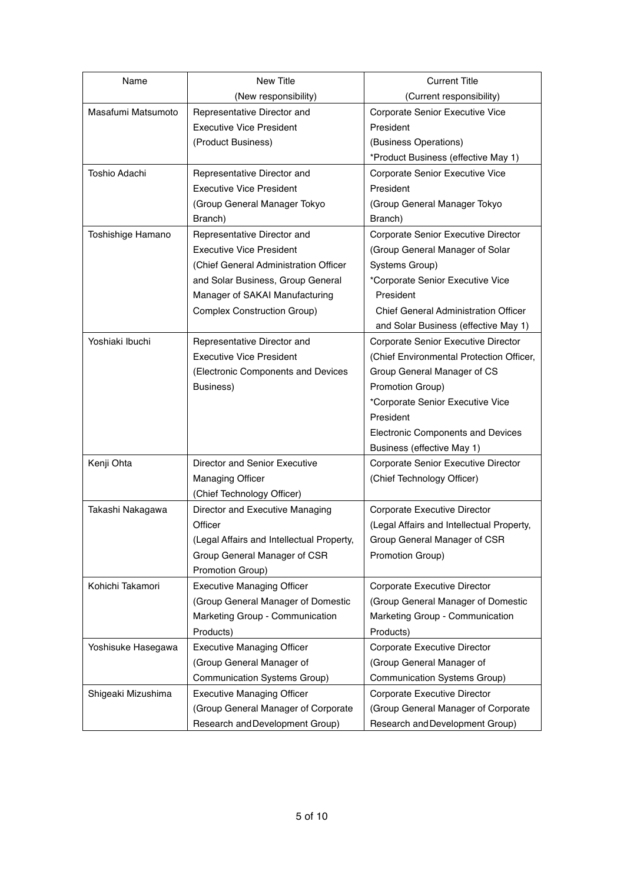| Name               | New Title                                 | <b>Current Title</b>                      |
|--------------------|-------------------------------------------|-------------------------------------------|
|                    | (New responsibility)                      | (Current responsibility)                  |
| Masafumi Matsumoto | Representative Director and               | Corporate Senior Executive Vice           |
|                    | <b>Executive Vice President</b>           | President                                 |
|                    | (Product Business)                        | (Business Operations)                     |
|                    |                                           | *Product Business (effective May 1)       |
| Toshio Adachi      | Representative Director and               | Corporate Senior Executive Vice           |
|                    | <b>Executive Vice President</b>           | President                                 |
|                    | (Group General Manager Tokyo              | (Group General Manager Tokyo              |
|                    | Branch)                                   | Branch)                                   |
| Toshishige Hamano  | Representative Director and               | Corporate Senior Executive Director       |
|                    | <b>Executive Vice President</b>           | (Group General Manager of Solar           |
|                    | (Chief General Administration Officer     | Systems Group)                            |
|                    | and Solar Business, Group General         | *Corporate Senior Executive Vice          |
|                    | Manager of SAKAI Manufacturing            | President                                 |
|                    | Complex Construction Group)               | Chief General Administration Officer      |
|                    |                                           | and Solar Business (effective May 1)      |
| Yoshiaki Ibuchi    | Representative Director and               | Corporate Senior Executive Director       |
|                    | <b>Executive Vice President</b>           | (Chief Environmental Protection Officer,  |
|                    | (Electronic Components and Devices        | Group General Manager of CS               |
|                    | Business)                                 | Promotion Group)                          |
|                    |                                           | *Corporate Senior Executive Vice          |
|                    |                                           | President                                 |
|                    |                                           | Electronic Components and Devices         |
|                    |                                           | Business (effective May 1)                |
| Kenji Ohta         | Director and Senior Executive             | Corporate Senior Executive Director       |
|                    | <b>Managing Officer</b>                   | (Chief Technology Officer)                |
|                    | (Chief Technology Officer)                |                                           |
| Takashi Nakagawa   | Director and Executive Managing           | Corporate Executive Director              |
|                    | Officer                                   | (Legal Affairs and Intellectual Property, |
|                    | (Legal Affairs and Intellectual Property, | Group General Manager of CSR              |
|                    | Group General Manager of CSR              | Promotion Group)                          |
|                    | Promotion Group)                          |                                           |
| Kohichi Takamori   | <b>Executive Managing Officer</b>         | Corporate Executive Director              |
|                    | (Group General Manager of Domestic        | (Group General Manager of Domestic        |
|                    | Marketing Group - Communication           | Marketing Group - Communication           |
|                    | Products)                                 | Products)                                 |
| Yoshisuke Hasegawa | <b>Executive Managing Officer</b>         | Corporate Executive Director              |
|                    | (Group General Manager of                 | (Group General Manager of                 |
|                    | Communication Systems Group)              | Communication Systems Group)              |
| Shigeaki Mizushima | <b>Executive Managing Officer</b>         | Corporate Executive Director              |
|                    | (Group General Manager of Corporate       | (Group General Manager of Corporate       |
|                    | Research and Development Group)           | Research and Development Group)           |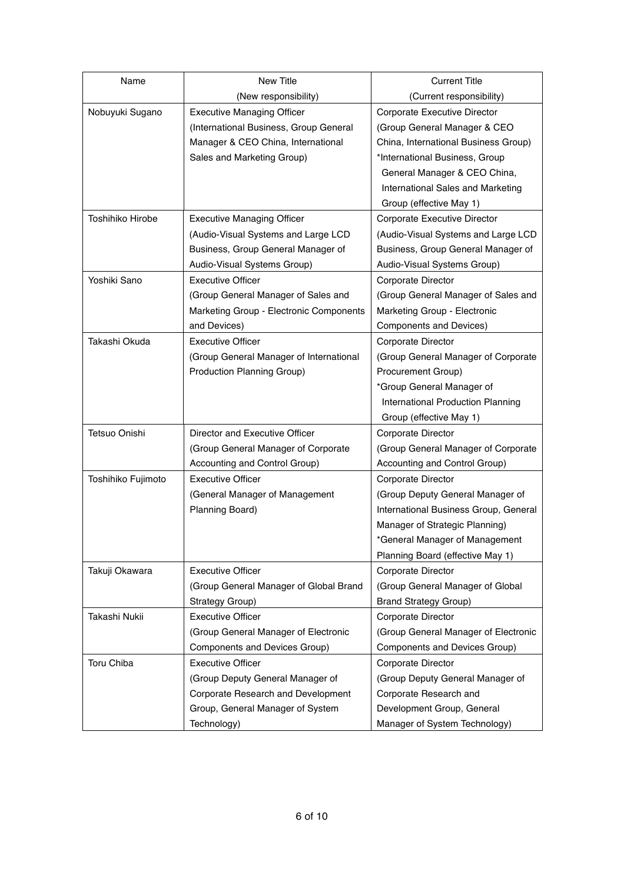| Name               | New Title                               | <b>Current Title</b>                  |
|--------------------|-----------------------------------------|---------------------------------------|
|                    | (New responsibility)                    | (Current responsibility)              |
| Nobuyuki Sugano    | <b>Executive Managing Officer</b>       | Corporate Executive Director          |
|                    | (International Business, Group General  | (Group General Manager & CEO          |
|                    | Manager & CEO China, International      | China, International Business Group)  |
|                    | Sales and Marketing Group)              | *International Business, Group        |
|                    |                                         | General Manager & CEO China,          |
|                    |                                         | International Sales and Marketing     |
|                    |                                         | Group (effective May 1)               |
| Toshihiko Hirobe   | <b>Executive Managing Officer</b>       | Corporate Executive Director          |
|                    | (Audio-Visual Systems and Large LCD     | (Audio-Visual Systems and Large LCD   |
|                    | Business, Group General Manager of      | Business, Group General Manager of    |
|                    | Audio-Visual Systems Group)             | Audio-Visual Systems Group)           |
| Yoshiki Sano       | <b>Executive Officer</b>                | Corporate Director                    |
|                    | (Group General Manager of Sales and     | (Group General Manager of Sales and   |
|                    | Marketing Group - Electronic Components | Marketing Group - Electronic          |
|                    | and Devices)                            | Components and Devices)               |
| Takashi Okuda      | <b>Executive Officer</b>                | Corporate Director                    |
|                    | (Group General Manager of International | (Group General Manager of Corporate   |
|                    | Production Planning Group)              | Procurement Group)                    |
|                    |                                         | *Group General Manager of             |
|                    |                                         | International Production Planning     |
|                    |                                         | Group (effective May 1)               |
| Tetsuo Onishi      | Director and Executive Officer          | Corporate Director                    |
|                    | (Group General Manager of Corporate     | (Group General Manager of Corporate   |
|                    | Accounting and Control Group)           | Accounting and Control Group)         |
| Toshihiko Fujimoto | <b>Executive Officer</b>                | Corporate Director                    |
|                    | (General Manager of Management          | (Group Deputy General Manager of      |
|                    | Planning Board)                         | International Business Group, General |
|                    |                                         | Manager of Strategic Planning)        |
|                    |                                         | *General Manager of Management        |
|                    |                                         | Planning Board (effective May 1)      |
| Takuji Okawara     | <b>Executive Officer</b>                | Corporate Director                    |
|                    | (Group General Manager of Global Brand  | (Group General Manager of Global      |
|                    | Strategy Group)                         | <b>Brand Strategy Group)</b>          |
| Takashi Nukii      | <b>Executive Officer</b>                | Corporate Director                    |
|                    | (Group General Manager of Electronic    | (Group General Manager of Electronic  |
|                    | Components and Devices Group)           | Components and Devices Group)         |
| Toru Chiba         | <b>Executive Officer</b>                | Corporate Director                    |
|                    | (Group Deputy General Manager of        | (Group Deputy General Manager of      |
|                    | Corporate Research and Development      | Corporate Research and                |
|                    | Group, General Manager of System        | Development Group, General            |
|                    | Technology)                             | Manager of System Technology)         |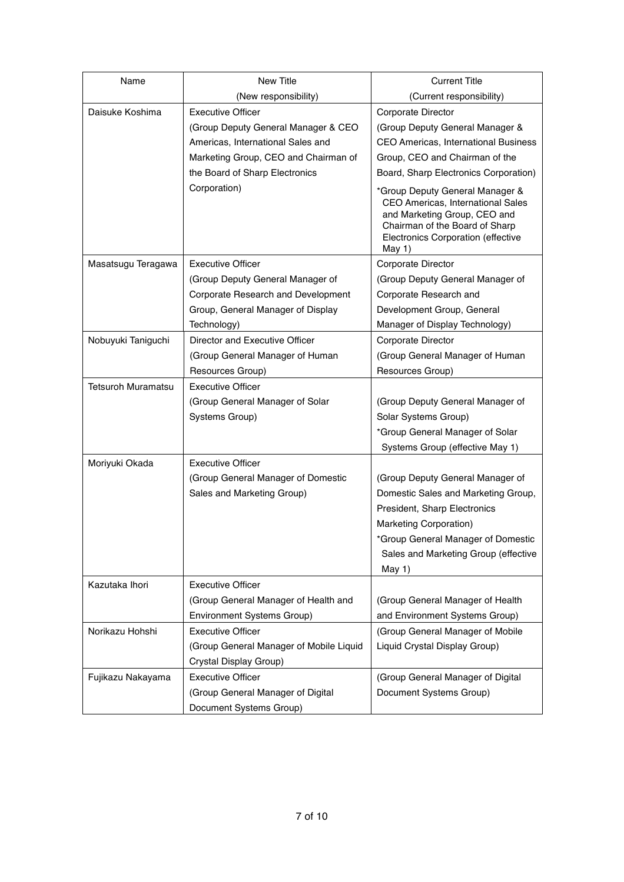| Name                      | New Title                               | <b>Current Title</b>                                                                                                                                                                     |
|---------------------------|-----------------------------------------|------------------------------------------------------------------------------------------------------------------------------------------------------------------------------------------|
|                           | (New responsibility)                    | (Current responsibility)                                                                                                                                                                 |
| Daisuke Koshima           | <b>Executive Officer</b>                | Corporate Director                                                                                                                                                                       |
|                           | (Group Deputy General Manager & CEO     | (Group Deputy General Manager &                                                                                                                                                          |
|                           | Americas, International Sales and       | CEO Americas, International Business                                                                                                                                                     |
|                           | Marketing Group, CEO and Chairman of    | Group, CEO and Chairman of the                                                                                                                                                           |
|                           | the Board of Sharp Electronics          | Board, Sharp Electronics Corporation)                                                                                                                                                    |
|                           | Corporation)                            | *Group Deputy General Manager &<br>CEO Americas, International Sales<br>and Marketing Group, CEO and<br>Chairman of the Board of Sharp<br>Electronics Corporation (effective<br>May $1)$ |
| Masatsugu Teragawa        | <b>Executive Officer</b>                | Corporate Director                                                                                                                                                                       |
|                           | (Group Deputy General Manager of        | (Group Deputy General Manager of                                                                                                                                                         |
|                           | Corporate Research and Development      | Corporate Research and                                                                                                                                                                   |
|                           | Group, General Manager of Display       | Development Group, General                                                                                                                                                               |
|                           | Technology)                             | Manager of Display Technology)                                                                                                                                                           |
| Nobuyuki Taniguchi        | Director and Executive Officer          | Corporate Director                                                                                                                                                                       |
|                           | (Group General Manager of Human         | (Group General Manager of Human                                                                                                                                                          |
|                           | Resources Group)                        | Resources Group)                                                                                                                                                                         |
| <b>Tetsuroh Muramatsu</b> | <b>Executive Officer</b>                |                                                                                                                                                                                          |
|                           | (Group General Manager of Solar         | (Group Deputy General Manager of                                                                                                                                                         |
|                           | Systems Group)                          | Solar Systems Group)                                                                                                                                                                     |
|                           |                                         | *Group General Manager of Solar                                                                                                                                                          |
|                           |                                         | Systems Group (effective May 1)                                                                                                                                                          |
| Moriyuki Okada            | <b>Executive Officer</b>                |                                                                                                                                                                                          |
|                           | (Group General Manager of Domestic      | (Group Deputy General Manager of                                                                                                                                                         |
|                           | Sales and Marketing Group)              | Domestic Sales and Marketing Group,                                                                                                                                                      |
|                           |                                         | President, Sharp Electronics                                                                                                                                                             |
|                           |                                         | Marketing Corporation)                                                                                                                                                                   |
|                           |                                         | *Group General Manager of Domestic                                                                                                                                                       |
|                           |                                         | Sales and Marketing Group (effective                                                                                                                                                     |
|                           |                                         | May 1)                                                                                                                                                                                   |
| Kazutaka Ihori            | <b>Executive Officer</b>                |                                                                                                                                                                                          |
|                           | (Group General Manager of Health and    | (Group General Manager of Health                                                                                                                                                         |
|                           | <b>Environment Systems Group)</b>       | and Environment Systems Group)                                                                                                                                                           |
| Norikazu Hohshi           | <b>Executive Officer</b>                | (Group General Manager of Mobile                                                                                                                                                         |
|                           | (Group General Manager of Mobile Liquid | Liquid Crystal Display Group)                                                                                                                                                            |
|                           | Crystal Display Group)                  |                                                                                                                                                                                          |
| Fujikazu Nakayama         | <b>Executive Officer</b>                | (Group General Manager of Digital                                                                                                                                                        |
|                           | (Group General Manager of Digital       | Document Systems Group)                                                                                                                                                                  |
|                           | Document Systems Group)                 |                                                                                                                                                                                          |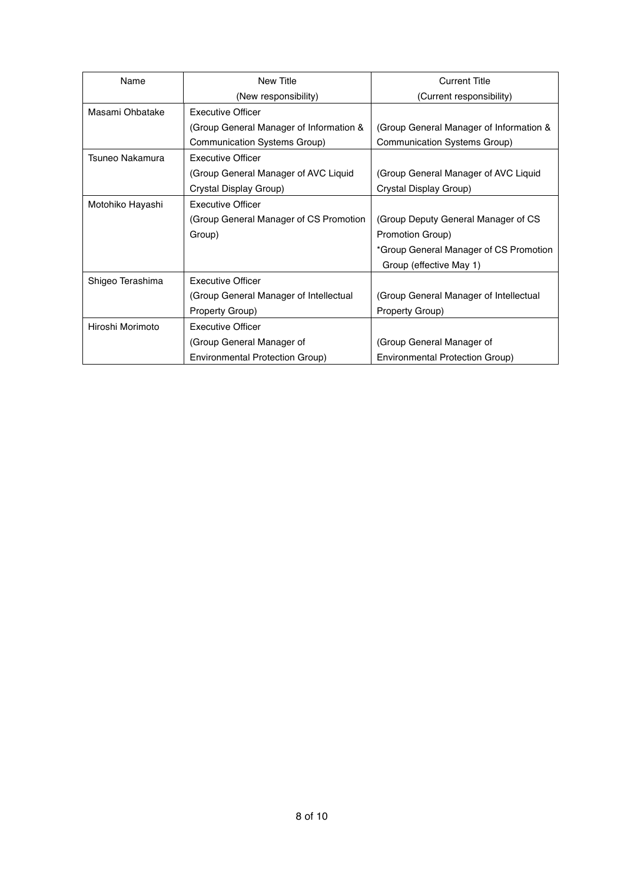| Name             | New Title                               | <b>Current Title</b>                    |
|------------------|-----------------------------------------|-----------------------------------------|
|                  | (New responsibility)                    | (Current responsibility)                |
| Masami Ohbatake  | <b>Executive Officer</b>                |                                         |
|                  | (Group General Manager of Information & | (Group General Manager of Information & |
|                  | Communication Systems Group)            | Communication Systems Group)            |
| Tsuneo Nakamura  | <b>Executive Officer</b>                |                                         |
|                  | (Group General Manager of AVC Liquid    | (Group General Manager of AVC Liquid    |
|                  | Crystal Display Group)                  | Crystal Display Group)                  |
| Motohiko Hayashi | <b>Executive Officer</b>                |                                         |
|                  | (Group General Manager of CS Promotion  | (Group Deputy General Manager of CS     |
|                  | Group)                                  | Promotion Group)                        |
|                  |                                         | *Group General Manager of CS Promotion  |
|                  |                                         | Group (effective May 1)                 |
| Shigeo Terashima | <b>Executive Officer</b>                |                                         |
|                  | (Group General Manager of Intellectual  | (Group General Manager of Intellectual  |
|                  | Property Group)                         | Property Group)                         |
| Hiroshi Morimoto | <b>Executive Officer</b>                |                                         |
|                  | (Group General Manager of               | (Group General Manager of               |
|                  | Environmental Protection Group)         | Environmental Protection Group)         |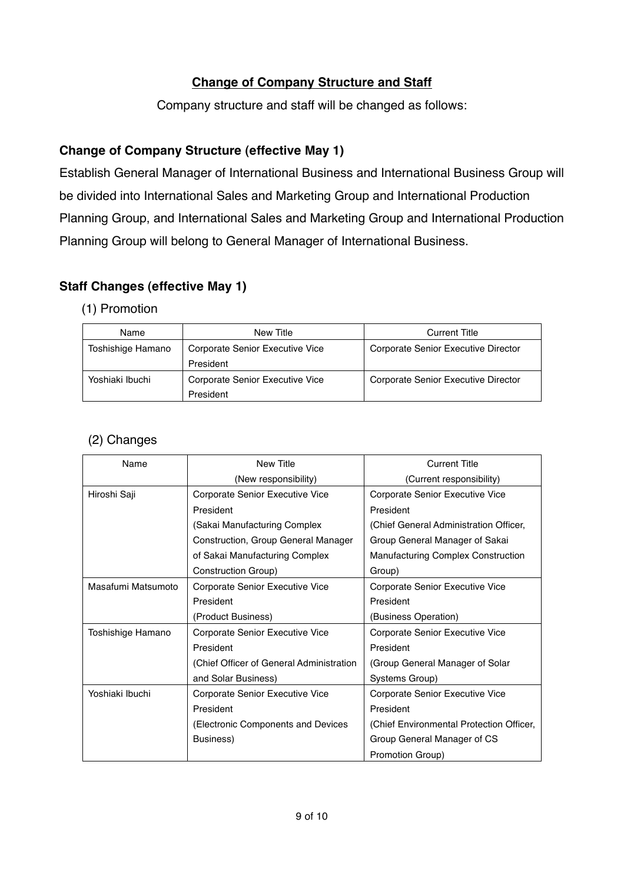### **Change of Company Structure and Staff**

Company structure and staff will be changed as follows:

### **Change of Company Structure (effective May 1)**

Establish General Manager of International Business and International Business Group will be divided into International Sales and Marketing Group and International Production Planning Group, and International Sales and Marketing Group and International Production Planning Group will belong to General Manager of International Business.

### **Staff Changes (effective May 1)**

#### (1) Promotion

| Name              | New Title                       | <b>Current Title</b>                |
|-------------------|---------------------------------|-------------------------------------|
| Toshishige Hamano | Corporate Senior Executive Vice | Corporate Senior Executive Director |
|                   | President                       |                                     |
| Yoshiaki Ibuchi   | Corporate Senior Executive Vice | Corporate Senior Executive Director |
|                   | President                       |                                     |

#### (2) Changes

| Name               | <b>New Title</b>                         | <b>Current Title</b>                     |
|--------------------|------------------------------------------|------------------------------------------|
|                    | (New responsibility)                     | (Current responsibility)                 |
| Hiroshi Saji       | Corporate Senior Executive Vice          | Corporate Senior Executive Vice          |
|                    | President                                | President                                |
|                    | (Sakai Manufacturing Complex)            | (Chief General Administration Officer,   |
|                    | Construction, Group General Manager      | Group General Manager of Sakai           |
|                    | of Sakai Manufacturing Complex           | Manufacturing Complex Construction       |
|                    | Construction Group)                      | Group)                                   |
| Masafumi Matsumoto | Corporate Senior Executive Vice          | Corporate Senior Executive Vice          |
|                    | President                                | President                                |
|                    | (Product Business)                       | (Business Operation)                     |
| Toshishige Hamano  | Corporate Senior Executive Vice          | Corporate Senior Executive Vice          |
|                    | President                                | President                                |
|                    | (Chief Officer of General Administration | (Group General Manager of Solar          |
|                    | and Solar Business)                      | Systems Group)                           |
| Yoshiaki Ibuchi    | Corporate Senior Executive Vice          | Corporate Senior Executive Vice          |
|                    | President                                | President                                |
|                    | (Electronic Components and Devices       | (Chief Environmental Protection Officer, |
|                    | Business)                                | Group General Manager of CS              |
|                    |                                          | Promotion Group)                         |